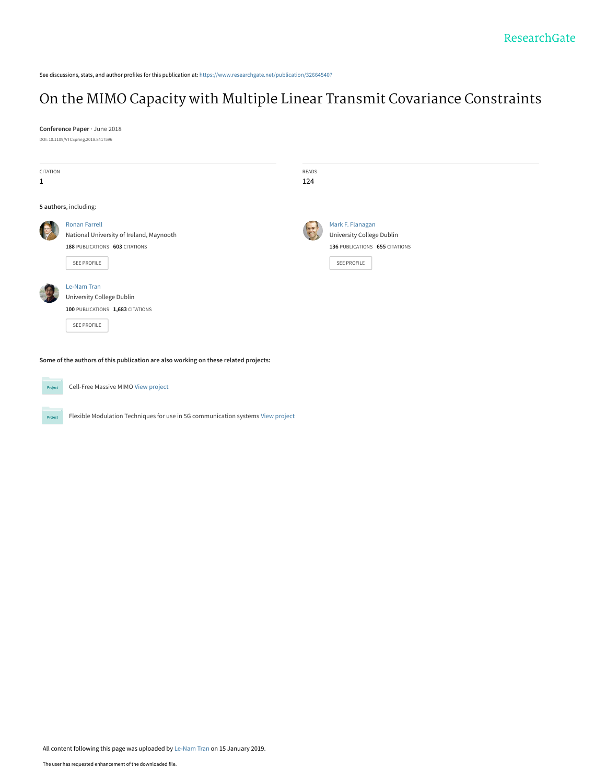See discussions, stats, and author profiles for this publication at: [https://www.researchgate.net/publication/326645407](https://www.researchgate.net/publication/326645407_On_the_MIMO_Capacity_with_Multiple_Linear_Transmit_Covariance_Constraints?enrichId=rgreq-d3cccb58c8440d4a5f644618e0ea0cd2-XXX&enrichSource=Y292ZXJQYWdlOzMyNjY0NTQwNztBUzo3MTUzNTUxMDIxMzAxNzdAMTU0NzU2NTM1NTQ2MQ%3D%3D&el=1_x_2&_esc=publicationCoverPdf)

# [On the MIMO Capacity with Multiple Linear Transmit Covariance Constraints](https://www.researchgate.net/publication/326645407_On_the_MIMO_Capacity_with_Multiple_Linear_Transmit_Covariance_Constraints?enrichId=rgreq-d3cccb58c8440d4a5f644618e0ea0cd2-XXX&enrichSource=Y292ZXJQYWdlOzMyNjY0NTQwNztBUzo3MTUzNTUxMDIxMzAxNzdAMTU0NzU2NTM1NTQ2MQ%3D%3D&el=1_x_3&_esc=publicationCoverPdf)

**Conference Paper** · June 2018

DOI: 10.1109/VTCSpring.2018.8417596

| CITATION<br>$\mathbf{1}$ |                                                                                                                   | READS<br>124 |                                                                                                       |
|--------------------------|-------------------------------------------------------------------------------------------------------------------|--------------|-------------------------------------------------------------------------------------------------------|
|                          | 5 authors, including:                                                                                             |              |                                                                                                       |
|                          | <b>Ronan Farrell</b><br>National University of Ireland, Maynooth<br>188 PUBLICATIONS 603 CITATIONS<br>SEE PROFILE |              | Mark F. Flanagan<br>University College Dublin<br>136 PUBLICATIONS 655 CITATIONS<br><b>SEE PROFILE</b> |
|                          | Le-Nam Tran<br>University College Dublin<br>100 PUBLICATIONS 1,683 CITATIONS<br>SEE PROFILE                       |              |                                                                                                       |

**Some of the authors of this publication are also working on these related projects:**



Projec

Cell-Free Massive MIMO [View project](https://www.researchgate.net/project/Cell-Free-Massive-MIMO?enrichId=rgreq-d3cccb58c8440d4a5f644618e0ea0cd2-XXX&enrichSource=Y292ZXJQYWdlOzMyNjY0NTQwNztBUzo3MTUzNTUxMDIxMzAxNzdAMTU0NzU2NTM1NTQ2MQ%3D%3D&el=1_x_9&_esc=publicationCoverPdf)

Flexible Modulation Techniques for use in 5G communication systems [View project](https://www.researchgate.net/project/Flexible-Modulation-Techniques-for-use-in-5G-communication-systems?enrichId=rgreq-d3cccb58c8440d4a5f644618e0ea0cd2-XXX&enrichSource=Y292ZXJQYWdlOzMyNjY0NTQwNztBUzo3MTUzNTUxMDIxMzAxNzdAMTU0NzU2NTM1NTQ2MQ%3D%3D&el=1_x_9&_esc=publicationCoverPdf)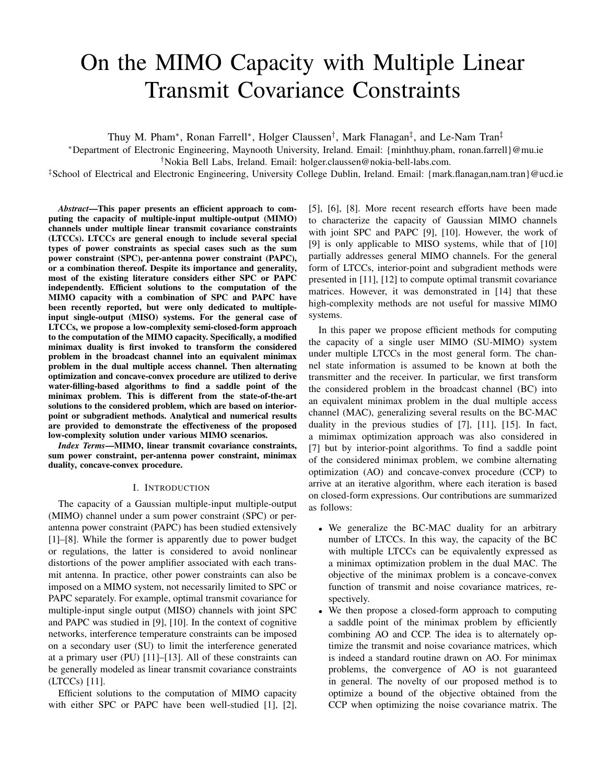# On the MIMO Capacity with Multiple Linear Transmit Covariance Constraints

Thuy M. Pham<sup>∗</sup>, Ronan Farrell<sup>∗</sup>, Holger Claussen<sup>†</sup>, Mark Flanagan<sup>‡</sup>, and Le-Nam Tran<sup>‡</sup>

∗Department of Electronic Engineering, Maynooth University, Ireland. Email: {minhthuy.pham, ronan.farrell}@mu.ie

†Nokia Bell Labs, Ireland. Email: holger.claussen@nokia-bell-labs.com.

‡School of Electrical and Electronic Engineering, University College Dublin, Ireland. Email: {mark.flanagan,nam.tran}@ucd.ie

*Abstract*—This paper presents an efficient approach to computing the capacity of multiple-input multiple-output (MIMO) channels under multiple linear transmit covariance constraints (LTCCs). LTCCs are general enough to include several special types of power constraints as special cases such as the sum power constraint (SPC), per-antenna power constraint (PAPC), or a combination thereof. Despite its importance and generality, most of the existing literature considers either SPC or PAPC independently. Efficient solutions to the computation of the MIMO capacity with a combination of SPC and PAPC have been recently reported, but were only dedicated to multipleinput single-output (MISO) systems. For the general case of LTCCs, we propose a low-complexity semi-closed-form approach to the computation of the MIMO capacity. Specifically, a modified minimax duality is first invoked to transform the considered problem in the broadcast channel into an equivalent minimax problem in the dual multiple access channel. Then alternating optimization and concave-convex procedure are utilized to derive water-filling-based algorithms to find a saddle point of the minimax problem. This is different from the state-of-the-art solutions to the considered problem, which are based on interiorpoint or subgradient methods. Analytical and numerical results are provided to demonstrate the effectiveness of the proposed low-complexity solution under various MIMO scenarios.

*Index Terms*—MIMO, linear transmit covariance constraints, sum power constraint, per-antenna power constraint, minimax duality, concave-convex procedure.

# I. INTRODUCTION

The capacity of a Gaussian multiple-input multiple-output (MIMO) channel under a sum power constraint (SPC) or perantenna power constraint (PAPC) has been studied extensively [1]–[8]. While the former is apparently due to power budget or regulations, the latter is considered to avoid nonlinear distortions of the power amplifier associated with each transmit antenna. In practice, other power constraints can also be imposed on a MIMO system, not necessarily limited to SPC or PAPC separately. For example, optimal transmit covariance for multiple-input single output (MISO) channels with joint SPC and PAPC was studied in [9], [10]. In the context of cognitive networks, interference temperature constraints can be imposed on a secondary user (SU) to limit the interference generated at a primary user (PU) [11]–[13]. All of these constraints can be generally modeled as linear transmit covariance constraints (LTCCs) [11].

Efficient solutions to the computation of MIMO capacity with either SPC or PAPC have been well-studied [1], [2], [5], [6], [8]. More recent research efforts have been made to characterize the capacity of Gaussian MIMO channels with joint SPC and PAPC [9], [10]. However, the work of [9] is only applicable to MISO systems, while that of [10] partially addresses general MIMO channels. For the general form of LTCCs, interior-point and subgradient methods were presented in [11], [12] to compute optimal transmit covariance matrices. However, it was demonstrated in [14] that these high-complexity methods are not useful for massive MIMO systems.

In this paper we propose efficient methods for computing the capacity of a single user MIMO (SU-MIMO) system under multiple LTCCs in the most general form. The channel state information is assumed to be known at both the transmitter and the receiver. In particular, we first transform the considered problem in the broadcast channel (BC) into an equivalent minimax problem in the dual multiple access channel (MAC), generalizing several results on the BC-MAC duality in the previous studies of [7], [11], [15]. In fact, a mimimax optimization approach was also considered in [7] but by interior-point algorithms. To find a saddle point of the considered minimax problem, we combine alternating optimization (AO) and concave-convex procedure (CCP) to arrive at an iterative algorithm, where each iteration is based on closed-form expressions. Our contributions are summarized as follows:

- We generalize the BC-MAC duality for an arbitrary number of LTCCs. In this way, the capacity of the BC with multiple LTCCs can be equivalently expressed as a minimax optimization problem in the dual MAC. The objective of the minimax problem is a concave-convex function of transmit and noise covariance matrices, respectively.
- We then propose a closed-form approach to computing a saddle point of the minimax problem by efficiently combining AO and CCP. The idea is to alternately optimize the transmit and noise covariance matrices, which is indeed a standard routine drawn on AO. For minimax problems, the convergence of AO is not guaranteed in general. The novelty of our proposed method is to optimize a bound of the objective obtained from the CCP when optimizing the noise covariance matrix. The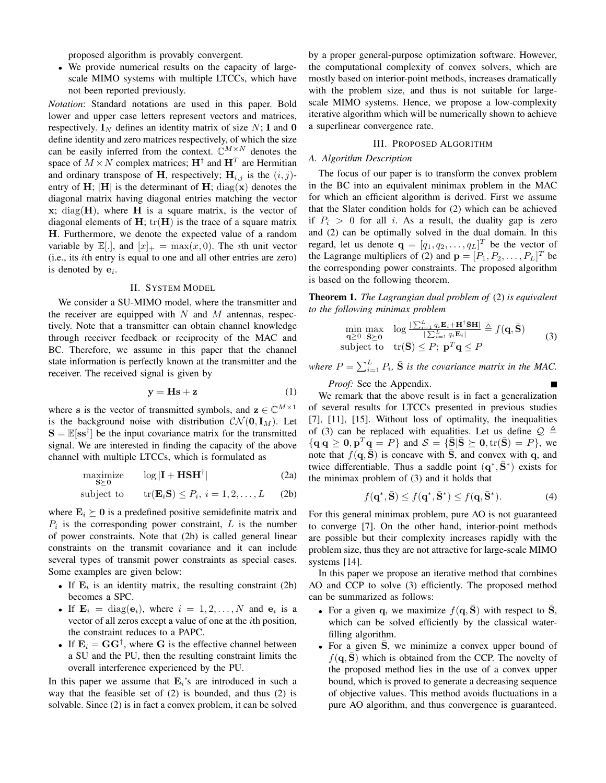proposed algorithm is provably convergent.

• We provide numerical results on the capacity of largescale MIMO systems with multiple LTCCs, which have not been reported previously.

*Notation*: Standard notations are used in this paper. Bold lower and upper case letters represent vectors and matrices, respectively.  $I_N$  defines an identity matrix of size N; I and 0 define identity and zero matrices respectively, of which the size can be easily inferred from the context.  $\mathbb{C}^{M \times N}$  denotes the space of  $M \times N$  complex matrices;  $H^{\dagger}$  and  $H^T$  are Hermitian and ordinary transpose of H, respectively;  $H_{i,j}$  is the  $(i, j)$ entry of H;  $|H|$  is the determinant of H; diag(x) denotes the diagonal matrix having diagonal entries matching the vector  $x$ ; diag( $H$ ), where  $H$  is a square matrix, is the vector of diagonal elements of  $H$ ;  $tr(H)$  is the trace of a square matrix H. Furthermore, we denote the expected value of a random variable by  $\mathbb{E}[.]$ , and  $[x]_+ = \max(x, 0)$ . The *i*th unit vector (i.e., its ith entry is equal to one and all other entries are zero) is denoted by  $e_i$ .

# II. SYSTEM MODEL

We consider a SU-MIMO model, where the transmitter and the receiver are equipped with  $N$  and  $M$  antennas, respectively. Note that a transmitter can obtain channel knowledge through receiver feedback or reciprocity of the MAC and BC. Therefore, we assume in this paper that the channel state information is perfectly known at the transmitter and the receiver. The received signal is given by

$$
y = Hs + z \tag{1}
$$

where s is the vector of transmitted symbols, and  $z \in \mathbb{C}^{M \times 1}$ is the background noise with distribution  $\mathcal{CN}(\mathbf{0}, \mathbf{I}_M)$ . Let  $S = \mathbb{E}[ss^{\dagger}]$  be the input covariance matrix for the transmitted signal. We are interested in finding the capacity of the above channel with multiple LTCCs, which is formulated as

$$
\begin{array}{ll}\text{maximize} & \log|\mathbf{I} + \mathbf{H} \mathbf{S} \mathbf{H}^{\dagger}| \end{array} \tag{2a}
$$

subject to 
$$
tr(\mathbf{E}_i \mathbf{S}) \le P_i, i = 1, 2, ..., L
$$
 (2b)

where  $\mathbf{E}_i \succeq \mathbf{0}$  is a predefined positive semidefinite matrix and  $P_i$  is the corresponding power constraint,  $L$  is the number of power constraints. Note that (2b) is called general linear constraints on the transmit covariance and it can include several types of transmit power constraints as special cases. Some examples are given below:

- If  $\mathbf{E}_i$  is an identity matrix, the resulting constraint (2b) becomes a SPC.
- If  $\mathbf{E}_i = \text{diag}(\mathbf{e}_i)$ , where  $i = 1, 2, ..., N$  and  $\mathbf{e}_i$  is a vector of all zeros except a value of one at the ith position, the constraint reduces to a PAPC.
- If  $\mathbf{E}_i = \mathbf{G} \mathbf{G}^{\dagger}$ , where G is the effective channel between a SU and the PU, then the resulting constraint limits the overall interference experienced by the PU.

In this paper we assume that  $E_i$ 's are introduced in such a way that the feasible set of (2) is bounded, and thus (2) is solvable. Since (2) is in fact a convex problem, it can be solved by a proper general-purpose optimization software. However, the computational complexity of convex solvers, which are mostly based on interior-point methods, increases dramatically with the problem size, and thus is not suitable for largescale MIMO systems. Hence, we propose a low-complexity iterative algorithm which will be numerically shown to achieve a superlinear convergence rate.

### III. PROPOSED ALGORITHM

#### *A. Algorithm Description*

The focus of our paper is to transform the convex problem in the BC into an equivalent minimax problem in the MAC for which an efficient algorithm is derived. First we assume that the Slater condition holds for (2) which can be achieved if  $P_i > 0$  for all i. As a result, the duality gap is zero and (2) can be optimally solved in the dual domain. In this regard, let us denote  $\mathbf{q} = [q_1, q_2, \dots, q_L]^T$  be the vector of the Lagrange multipliers of (2) and  $\mathbf{p} = [P_1, P_2, \dots, P_L]^T$  be the corresponding power constraints. The proposed algorithm is based on the following theorem.

Theorem 1. *The Lagrangian dual problem of* (2) *is equivalent to the following minimax problem*

$$
\min_{\mathbf{q}\geq 0} \max_{\bar{\mathbf{S}}\succeq \mathbf{0}} \log \frac{|\sum_{i=1}^{L} q_i \mathbf{E}_i + \mathbf{H}^\dagger \bar{\mathbf{S}} \mathbf{H}|}{|\sum_{i=1}^{L} q_i \mathbf{E}_i|} \triangleq f(\mathbf{q}, \bar{\mathbf{S}})
$$
\n
$$
\text{subject to } \operatorname{tr}(\bar{\mathbf{S}}) \leq P; \ \mathbf{p}^T \mathbf{q} \leq P
$$
\n
$$
(3)
$$

where  $P = \sum_{i=1}^{L} P_i$ ,  $\bar{S}$  *is the covariance matrix in the MAC.* 

*Proof:* See the Appendix.

We remark that the above result is in fact a generalization of several results for LTCCs presented in previous studies [7], [11], [15]. Without loss of optimality, the inequalities of (3) can be replaced with equalities. Let us define  $\mathcal{Q} \triangleq$  ${q|{\bf q} \geq {\bf 0}, {\bf p}^T{\bf q} = P}$  and  $S = {\bar{\bf S}|\bar{\bf S} \succeq {\bf 0}, {\rm tr}(\bar{\bf S}) = P}$ , we note that  $f(\mathbf{q}, \mathbf{\bar{S}})$  is concave with  $\mathbf{\bar{S}}$ , and convex with q, and twice differentiable. Thus a saddle point  $(q^*, \bar{S}^*)$  exists for the minimax problem of (3) and it holds that

$$
f(\mathbf{q}^*, \bar{\mathbf{S}}) \le f(\mathbf{q}^*, \bar{\mathbf{S}}^*) \le f(\mathbf{q}, \bar{\mathbf{S}}^*). \tag{4}
$$

For this general minimax problem, pure AO is not guaranteed to converge [7]. On the other hand, interior-point methods are possible but their complexity increases rapidly with the problem size, thus they are not attractive for large-scale MIMO systems [14].

In this paper we propose an iterative method that combines AO and CCP to solve (3) efficiently. The proposed method can be summarized as follows:

- For a given q, we maximize  $f(\mathbf{q}, \mathbf{S})$  with respect to  $\mathbf{S}$ , which can be solved efficiently by the classical waterfilling algorithm.
- For a given  $\overline{S}$ , we minimize a convex upper bound of  $f(\mathbf{q}, \bar{\mathbf{S}})$  which is obtained from the CCP. The novelty of the proposed method lies in the use of a convex upper bound, which is proved to generate a decreasing sequence of objective values. This method avoids fluctuations in a pure AO algorithm, and thus convergence is guaranteed.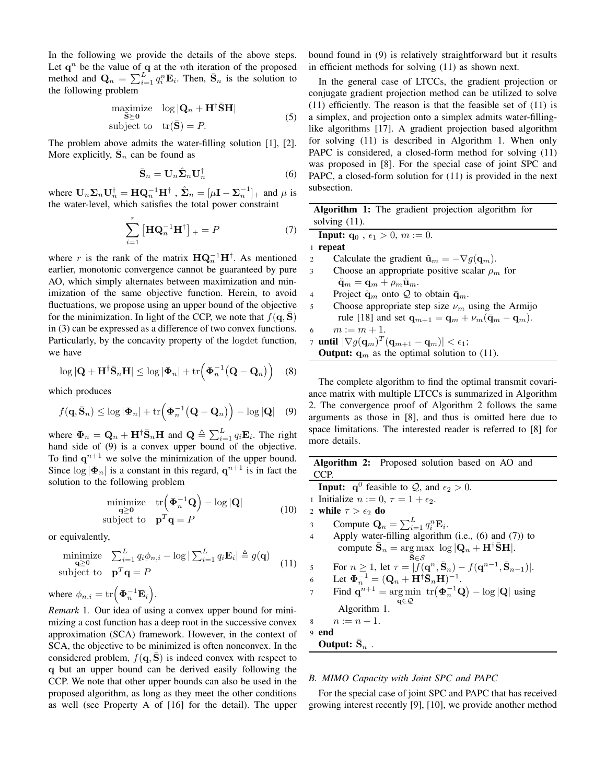In the following we provide the details of the above steps. Let  $q^n$  be the value of q at the *n*th iteration of the proposed method and  $\mathbf{Q}_n = \sum_{i=1}^L q_i^n \mathbf{E}_i$ . Then,  $\bar{\mathbf{S}}_n$  is the solution to the following problem

$$
\begin{array}{ll}\n\text{maximize} & \log|\mathbf{Q}_n + \mathbf{H}^\dagger \bar{\mathbf{S}} \mathbf{H}| \\
\bar{\mathbf{S}} \succeq \mathbf{0} & \text{subject to} \quad \text{tr}(\bar{\mathbf{S}}) = P.\n\end{array} \tag{5}
$$

The problem above admits the water-filling solution [1], [2]. More explicitly,  $\bar{\mathbf{S}}_n$  can be found as

$$
\bar{\mathbf{S}}_n = \mathbf{U}_n \hat{\boldsymbol{\Sigma}}_n \mathbf{U}_n^\dagger \tag{6}
$$

where  $\mathbf{U}_n \Sigma_n \mathbf{U}_n^{\dagger} = \mathbf{H} \mathbf{Q}_n^{-1} \mathbf{H}^{\dagger}$  ,  $\hat{\Sigma}_n = [\mu \mathbf{I} - \Sigma_n^{-1}]_+$  and  $\mu$  is the water-level, which satisfies the total power constraint

$$
\sum_{i=1}^{r} \left[ \mathbf{H} \mathbf{Q}_n^{-1} \mathbf{H}^\dagger \right]_+ = P \tag{7}
$$

where r is the rank of the matrix  $\mathbf{H} \mathbf{Q}_n^{-1} \mathbf{H}^{\dagger}$ . As mentioned earlier, monotonic convergence cannot be guaranteed by pure AO, which simply alternates between maximization and minimization of the same objective function. Herein, to avoid fluctuations, we propose using an upper bound of the objective for the minimization. In light of the CCP, we note that  $f(\mathbf{q}, \bar{\mathbf{S}})$ in (3) can be expressed as a difference of two convex functions. Particularly, by the concavity property of the logdet function, we have

$$
\log |\mathbf{Q} + \mathbf{H}^{\dagger} \bar{\mathbf{S}}_n \mathbf{H}| \leq \log |\Phi_n| + \text{tr} \Big( \mathbf{\Phi}_n^{-1} \big( \mathbf{Q} - \mathbf{Q}_n \big) \Big) \quad (8)
$$

which produces

$$
f(\mathbf{q}, \bar{\mathbf{S}}_n) \leq \log |\mathbf{\Phi}_n| + \text{tr}\Big(\mathbf{\Phi}_n^{-1}(\mathbf{Q} - \mathbf{Q}_n)\Big) - \log |\mathbf{Q}| \quad (9)
$$

where  $\Phi_n = \mathbf{Q}_n + \mathbf{H}^\dagger \bar{\mathbf{S}}_n \mathbf{H}$  and  $\mathbf{Q} \triangleq \sum_{i=1}^L q_i \mathbf{E}_i$ . The right hand side of (9) is a convex upper bound of the objective. To find  $q^{n+1}$  we solve the minimization of the upper bound. Since  $\log |\Phi_n|$  is a constant in this regard,  $\mathbf{q}^{n+1}$  is in fact the solution to the following problem

$$
\begin{array}{ll}\text{minimize} & \text{tr}\left(\mathbf{\Phi}_n^{-1}\mathbf{Q}\right) - \log|\mathbf{Q}|\\ \text{subject to} & \mathbf{p}^T\mathbf{q} = P \end{array} \tag{10}
$$

or equivalently,

$$
\begin{array}{ll}\n\text{minimize} & \sum_{i=1}^{L} q_i \phi_{n,i} - \log |\sum_{i=1}^{L} q_i \mathbf{E}_i| \triangleq g(\mathbf{q}) \\
\text{subject to} & \mathbf{p}^T \mathbf{q} = P\n\end{array} \tag{11}
$$

where  $\phi_{n,i} = \text{tr}\left(\mathbf{\Phi}_n^{-1} \mathbf{E}_i\right)$ .

*Remark* 1*.* Our idea of using a convex upper bound for minimizing a cost function has a deep root in the successive convex approximation (SCA) framework. However, in the context of SCA, the objective to be minimized is often nonconvex. In the considered problem,  $f(\mathbf{q}, \bar{\mathbf{S}})$  is indeed convex with respect to q but an upper bound can be derived easily following the CCP. We note that other upper bounds can also be used in the proposed algorithm, as long as they meet the other conditions as well (see Property A of [16] for the detail). The upper bound found in (9) is relatively straightforward but it results in efficient methods for solving (11) as shown next.

In the general case of LTCCs, the gradient projection or conjugate gradient projection method can be utilized to solve (11) efficiently. The reason is that the feasible set of (11) is a simplex, and projection onto a simplex admits water-fillinglike algorithms [17]. A gradient projection based algorithm for solving (11) is described in Algorithm 1. When only PAPC is considered, a closed-form method for solving (11) was proposed in [8]. For the special case of joint SPC and PAPC, a closed-form solution for (11) is provided in the next subsection.

| Algorithm 1: The gradient projection algorithm for |  |  |  |
|----------------------------------------------------|--|--|--|
| solving $(11)$ .                                   |  |  |  |
|                                                    |  |  |  |

**Input:**  $\mathbf{q}_0$ ,  $\epsilon_1 > 0$ ,  $m := 0$ . 1 repeat

2 Calculate the gradient  $\tilde{\mathbf{u}}_m = -\nabla g(\mathbf{q}_m)$ .

- 3 Choose an appropriate positive scalar  $\rho_m$  for  $\tilde{\mathbf{q}}_m = \mathbf{q}_m + \rho_m \tilde{\mathbf{u}}_m.$
- 4 Project  $\tilde{\mathbf{q}}_m$  onto Q to obtain  $\bar{\mathbf{q}}_m$ .
- 5 Choose appropriate step size  $\nu_m$  using the Armijo rule [18] and set  $\mathbf{q}_{m+1} = \mathbf{q}_m + \nu_m (\bar{\mathbf{q}}_m - \mathbf{q}_m)$ . 6  $m := m + 1$ . 7 until  $|\nabla g(\mathbf q_m)^T(\mathbf q_{m+1}-\mathbf q_m)|<\epsilon_1;$ 
	- **Output:**  $q_m$  as the optimal solution to (11).

The complete algorithm to find the optimal transmit covariance matrix with multiple LTCCs is summarized in Algorithm 2. The convergence proof of Algorithm 2 follows the same arguments as those in [8], and thus is omitted here due to space limitations. The interested reader is referred to [8] for more details.

Algorithm 2: Proposed solution based on AO and CCP.

**Input:**  $q^0$  feasible to  $Q$ , and  $\epsilon_2 > 0$ . 1 Initialize  $n := 0, \tau = 1 + \epsilon_2$ . 2 while  $\tau > \epsilon_2$  do 3 Compute  $\mathbf{Q}_n = \sum_{i=1}^L q_i^n \mathbf{E}_i$ . <sup>4</sup> Apply water-filling algorithm (i.e., (6) and (7)) to compute  $\bar{\mathbf{S}}_n = \arg \max \ \log |\mathbf{Q}_n + \mathbf{H}^\dagger \bar{\mathbf{S}} \mathbf{H}|.$  $\breve{\mathbf{s}} \in \mathcal{S}$ 5 For  $n \ge 1$ , let  $\tau = |\tilde{f}(q^n, \bar{S}_n) - f(q^{n-1}, \bar{S}_{n-1})|$ . 6 Let  $\mathbf{\Phi}_n^{-1} = (\mathbf{Q}_n + \mathbf{H}^\dagger \bar{\mathbf{S}}_n \mathbf{H})^{-1}$ . 7 Find  $\mathbf{q}^{n+1} = \arg \min_{\mathbf{q}} \text{ tr}(\mathbf{\Phi}_n^{-1} \mathbf{Q}) - \log |\mathbf{Q}|$  using q∈Q Algorithm 1. 8  $n := n + 1$ . <sup>9</sup> end

Output:  $\bar{\mathbf{S}}_n$  .

# *B. MIMO Capacity with Joint SPC and PAPC*

For the special case of joint SPC and PAPC that has received growing interest recently [9], [10], we provide another method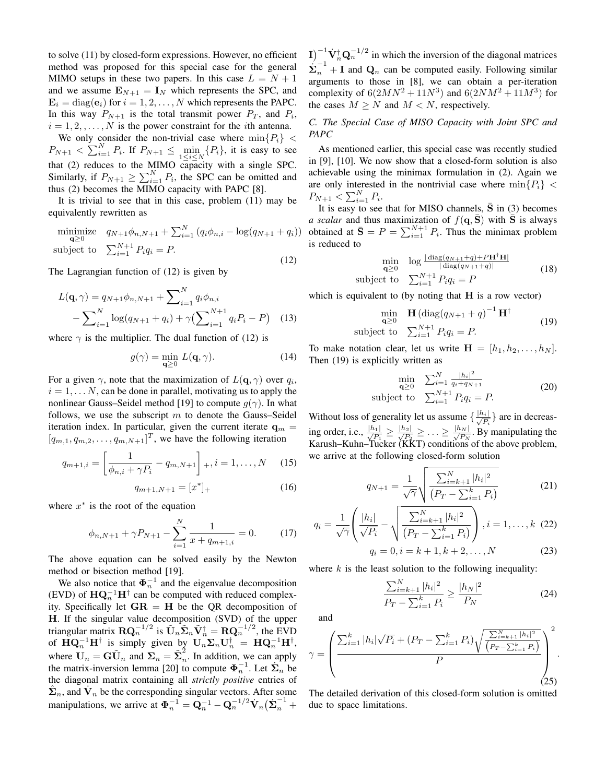to solve (11) by closed-form expressions. However, no efficient method was proposed for this special case for the general MIMO setups in these two papers. In this case  $L = N + 1$ and we assume  $E_{N+1} = I_N$  which represents the SPC, and  $\mathbf{E}_i = \text{diag}(\mathbf{e}_i)$  for  $i = 1, 2, ..., N$  which represents the PAPC. In this way  $P_{N+1}$  is the total transmit power  $P_T$ , and  $P_i$ ,  $i = 1, 2, \dots, N$  is the power constraint for the *i*th antenna.

We only consider the non-trivial case where  $\min\{P_i\}$  <  $P_{N+1} < \sum_{i=1}^{N} P_i$ . If  $P_{N+1} \leq \min_{1 \leq i \leq N} \{P_i\}$ , it is easy to see that (2) reduces to the MIMO capacity with a single SPC. Similarly, if  $P_{N+1} \ge \sum_{i=1}^{N} P_i$ , the SPC can be omitted and thus (2) becomes the MIMO capacity with PAPC [8].

It is trivial to see that in this case, problem (11) may be equivalently rewritten as

minimize 
$$
q_{N+1}\phi_{n,N+1} + \sum_{i=1}^{N} (q_i\phi_{n,i} - \log(q_{N+1} + q_i))
$$
  
subject to  $\sum_{i=1}^{N+1} P_i q_i = P.$  (12)

The Lagrangian function of (12) is given by

$$
L(\mathbf{q}, \gamma) = q_{N+1} \phi_{n, N+1} + \sum_{i=1}^{N} q_i \phi_{n, i}
$$

$$
- \sum_{i=1}^{N} \log(q_{N+1} + q_i) + \gamma \left(\sum_{i=1}^{N+1} q_i P_i - P\right) \quad (13)
$$

where  $\gamma$  is the multiplier. The dual function of (12) is

$$
g(\gamma) = \min_{\mathbf{q} \ge 0} L(\mathbf{q}, \gamma).
$$
 (14)

For a given  $\gamma$ , note that the maximization of  $L(\mathbf{q}, \gamma)$  over  $q_i$ ,  $i = 1, \ldots N$ , can be done in parallel, motivating us to apply the nonlinear Gauss–Seidel method [19] to compute  $g(\gamma)$ . In what follows, we use the subscript  $m$  to denote the Gauss–Seidel iteration index. In particular, given the current iterate  $q_m =$  $[q_{m,1}, q_{m,2}, \ldots, q_{m,N+1}]^T$ , we have the following iteration

$$
q_{m+1,i} = \left[\frac{1}{\phi_{n,i} + \gamma P_i} - q_{m,N+1}\right] + i = 1, \dots, N \quad (15)
$$

$$
q_{m+1,N+1} = [x^*]_+\tag{16}
$$

where  $x^*$  is the root of the equation

$$
\phi_{n,N+1} + \gamma P_{N+1} - \sum_{i=1}^{N} \frac{1}{x + q_{m+1,i}} = 0.
$$
 (17)

The above equation can be solved easily by the Newton method or bisection method [19].

We also notice that  $\Phi_n^{-1}$  and the eigenvalue decomposition (EVD) of  $HQ_n^{-1}H^{\dagger}$  can be computed with reduced complexity. Specifically let  $\text{GR} = \text{H}$  be the QR decomposition of H. If the singular value decomposition (SVD) of the upper triangular matrix  $\mathbf{R} \mathbf{Q}_n^{-1/2}$  is  $\tilde{\mathbf{U}}_n \tilde{\mathbf{\Sigma}}_n \tilde{\mathbf{V}}_n^{\dagger} = \mathbf{R} \mathbf{Q}_n^{-1/2}$ , the EVD of  $\mathbf{H} \mathbf{Q}_n^{-1} \mathbf{H}^{\dagger}$  is simply given by  $\mathbf{U}_n \mathbf{\Sigma}_n \mathbf{U}_n^{\dagger} = \mathbf{H} \mathbf{Q}_n^{-1} \mathbf{H}^{\dagger}$ , where  $\overline{\mathbf{U}}_n = \mathbf{G}\widetilde{\mathbf{U}}_n$  and  $\overline{\mathbf{\Sigma}}_n = \tilde{\boldsymbol{\Sigma}}_n^2$  $\overline{n}$ . In addition, we can apply the matrix-inversion lemma [20] to compute  $\Phi_n^{-1}$ . Let  $\dot{\Sigma}_n$  be the diagonal matrix containing all *strictly positive* entries of  $\hat{\Sigma}_n$ , and  $\dot{\mathbf{V}}_n$  be the corresponding singular vectors. After some manipulations, we arrive at  $\Phi_n^{-1} = \mathbf{Q}_n^{-1} - \mathbf{Q}_n^{-1/2} \mathbf{V}_n (\dot{\Sigma}_n^{-1} +$   $\left(I\right)^{-1}\dot{V}_n^{\dagger}Q_n^{-1/2}$  in which the inversion of the diagonal matrices  $\sum_{n=1}^{\infty}$  + I and  $\mathbf{Q}_n$  can be computed easily. Following similar arguments to those in [8], we can obtain a per-iteration complexity of  $6(2MN^2 + 11N^3)$  and  $6(2NM^2 + 11M^3)$  for the cases  $M > N$  and  $M < N$ , respectively.

# *C. The Special Case of MISO Capacity with Joint SPC and PAPC*

As mentioned earlier, this special case was recently studied in [9], [10]. We now show that a closed-form solution is also achievable using the minimax formulation in (2). Again we are only interested in the nontrivial case where  $\min\{P_i\}$  <  $P_{N+1} < \sum_{i=1}^{N} P_i$ .

It is easy to see that for MISO channels,  $\bar{S}$  in (3) becomes *a scalar* and thus maximization of  $f(\mathbf{q}, \mathbf{\bar{S}})$  with  $\mathbf{\bar{S}}$  is always obtained at  $\bar{S} = P = \sum_{i=1}^{N+1} P_i$ . Thus the minimax problem is reduced to

$$
\min_{\mathbf{q}\geq 0} \quad \log \frac{|\operatorname{diag}(q_{N+1}+q)+P\mathbf{H}^{\dagger}\mathbf{H}|}{|\operatorname{diag}(q_{N+1}+q)|}
$$
\n
$$
\text{subject to} \quad \sum_{i=1}^{N+1} P_i q_i = P \tag{18}
$$

which is equivalent to (by noting that  $H$  is a row vector)

$$
\min_{\mathbf{q}\geq 0} \quad \mathbf{H} \left( \mathrm{diag}(q_{N+1} + q)^{-1} \mathbf{H}^{\dagger} \right)
$$
\n
$$
\text{subject to} \quad \sum_{i=1}^{N+1} P_i q_i = P. \tag{19}
$$

To make notation clear, let us write  $\mathbf{H} = [h_1, h_2, \dots, h_N]$ . Then (19) is explicitly written as

$$
\min_{\mathbf{q} \ge 0} \sum_{i=1}^{N} \frac{|h_i|^2}{q_i + q_{N+1}}
$$
\nsubject to 
$$
\sum_{i=1}^{N+1} P_i q_i = P.
$$
\n(20)

Without loss of generality let us assume  $\{\frac{|h_i|}{\sqrt{P_i}}\}$  are in decreasing order, i.e.,  $\frac{|h_1|}{\sqrt{P_1}} \ge \frac{|h_2|}{\sqrt{P_2}} \ge \dots \ge \frac{|h_N|}{\sqrt{P_N}}$ . By manipulating the Karush–Kuhn–Tucker (KKT) conditions of the above problem, we arrive at the following closed-form solution

$$
q_{N+1} = \frac{1}{\sqrt{\gamma}} \sqrt{\frac{\sum_{i=k+1}^{N} |h_i|^2}{(P_T - \sum_{i=1}^{k} P_i)}}
$$
(21)

$$
q_i = \frac{1}{\sqrt{7}} \left( \frac{|h_i|}{\sqrt{P_i}} - \sqrt{\frac{\sum_{i=k+1}^N |h_i|^2}{(P_T - \sum_{i=1}^k P_i)}} \right), i = 1, \dots, k \quad (22)
$$

$$
q_i = 0, i = k+1, k+2, \dots, N \qquad (23)
$$

where  $k$  is the least solution to the following inequality:

$$
\frac{\sum_{i=k+1}^{N} |h_i|^2}{P_T - \sum_{i=1}^{k} P_i} \ge \frac{|h_N|^2}{P_N}
$$
\n(24)

and

$$
\gamma = \left(\frac{\sum_{i=1}^{k} |h_i| \sqrt{P_i} + (P_T - \sum_{i=1}^{k} P_i) \sqrt{\frac{\sum_{i=k+1}^{N} |h_i|^2}{\left(P_T - \sum_{i=1}^{k} P_i\right)}}}{P}\right)^2.
$$
\n(25)

The detailed derivation of this closed-form solution is omitted due to space limitations.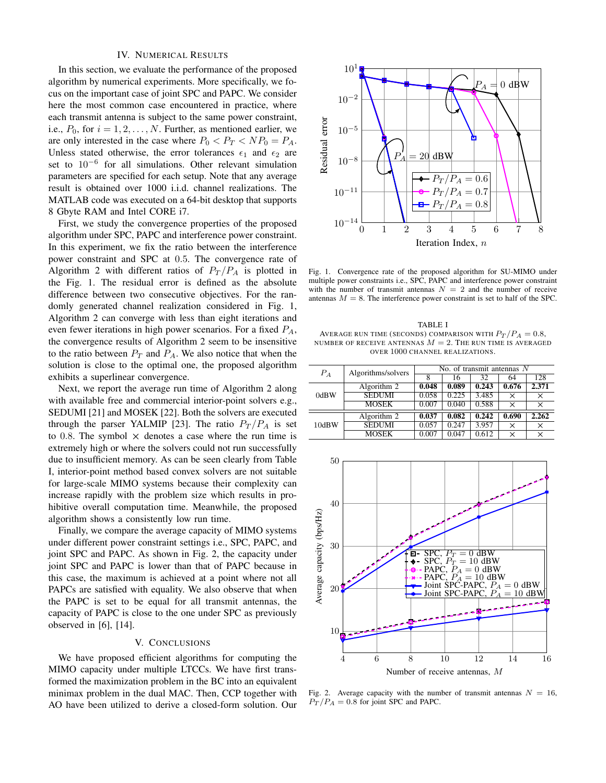# IV. NUMERICAL RESULTS

In this section, we evaluate the performance of the proposed algorithm by numerical experiments. More specifically, we focus on the important case of joint SPC and PAPC. We consider here the most common case encountered in practice, where each transmit antenna is subject to the same power constraint, i.e.,  $P_0$ , for  $i = 1, 2, ..., N$ . Further, as mentioned earlier, we are only interested in the case where  $P_0 < P_T < NP_0 = P_A$ . Unless stated otherwise, the error tolerances  $\epsilon_1$  and  $\epsilon_2$  are set to  $10^{-6}$  for all simulations. Other relevant simulation parameters are specified for each setup. Note that any average result is obtained over 1000 i.i.d. channel realizations. The MATLAB code was executed on a 64-bit desktop that supports 8 Gbyte RAM and Intel CORE i7.

First, we study the convergence properties of the proposed algorithm under SPC, PAPC and interference power constraint. In this experiment, we fix the ratio between the interference power constraint and SPC at 0.5. The convergence rate of Algorithm 2 with different ratios of  $P_T/P_A$  is plotted in the Fig. 1. The residual error is defined as the absolute difference between two consecutive objectives. For the randomly generated channel realization considered in Fig. 1, Algorithm 2 can converge with less than eight iterations and even fewer iterations in high power scenarios. For a fixed  $P_A$ , the convergence results of Algorithm 2 seem to be insensitive to the ratio between  $P_T$  and  $P_A$ . We also notice that when the solution is close to the optimal one, the proposed algorithm exhibits a superlinear convergence.

Next, we report the average run time of Algorithm 2 along with available free and commercial interior-point solvers e.g., SEDUMI [21] and MOSEK [22]. Both the solvers are executed through the parser YALMIP [23]. The ratio  $P_T/P_A$  is set to 0.8. The symbol  $\times$  denotes a case where the run time is extremely high or where the solvers could not run successfully due to insufficient memory. As can be seen clearly from Table I, interior-point method based convex solvers are not suitable for large-scale MIMO systems because their complexity can increase rapidly with the problem size which results in prohibitive overall computation time. Meanwhile, the proposed algorithm shows a consistently low run time.

Finally, we compare the average capacity of MIMO systems under different power constraint settings i.e., SPC, PAPC, and joint SPC and PAPC. As shown in Fig. 2, the capacity under joint SPC and PAPC is lower than that of PAPC because in this case, the maximum is achieved at a point where not all PAPCs are satisfied with equality. We also observe that when the PAPC is set to be equal for all transmit antennas, the capacity of PAPC is close to the one under SPC as previously observed in [6], [14].

### V. CONCLUSIONS

We have proposed efficient algorithms for computing the MIMO capacity under multiple LTCCs. We have first transformed the maximization problem in the BC into an equivalent minimax problem in the dual MAC. Then, CCP together with AO have been utilized to derive a closed-form solution. Our



Fig. 1. Convergence rate of the proposed algorithm for SU-MIMO under multiple power constraints i.e., SPC, PAPC and interference power constraint with the number of transmit antennas  $N = 2$  and the number of receive antennas  $M = 8$ . The interference power constraint is set to half of the SPC.

TABLE I AVERAGE RUN TIME (SECONDS) COMPARISON WITH  $P_T/P_A = 0.8$ , NUMBER OF RECEIVE ANTENNAS  $M = 2$ . The RUN TIME IS AVERAGED OVER 1000 CHANNEL REALIZATIONS.

| $P_A$ | Algorithms/solvers | No. of transmit antennas $N$ |       |       |       |          |  |
|-------|--------------------|------------------------------|-------|-------|-------|----------|--|
|       |                    |                              | 16    | 32    | 64    | 128      |  |
|       | Algorithm 2        | 0.048                        | 0.089 | 0.243 | 0.676 | 2.371    |  |
| 0dBW  | <b>SEDUMI</b>      | 0.058                        | 0.225 | 3.485 | ×     | $\times$ |  |
|       | <b>MOSEK</b>       | 0.007                        | 0.040 | 0.588 | ×     | ×        |  |
|       | Algorithm 2        | 0.037                        | 0.082 | 0.242 | 0.690 | 2.262    |  |
| 10dBW | <b>SEDUMI</b>      | 0.057                        | 0.247 | 3.957 | X     | ×        |  |
|       | <b>MOSEK</b>       | 0.007                        | 0.047 | 0.612 | ×     | ×        |  |



Fig. 2. Average capacity with the number of transmit antennas  $N = 16$ ,  $P_T/P_A = 0.8$  for joint SPC and PAPC.